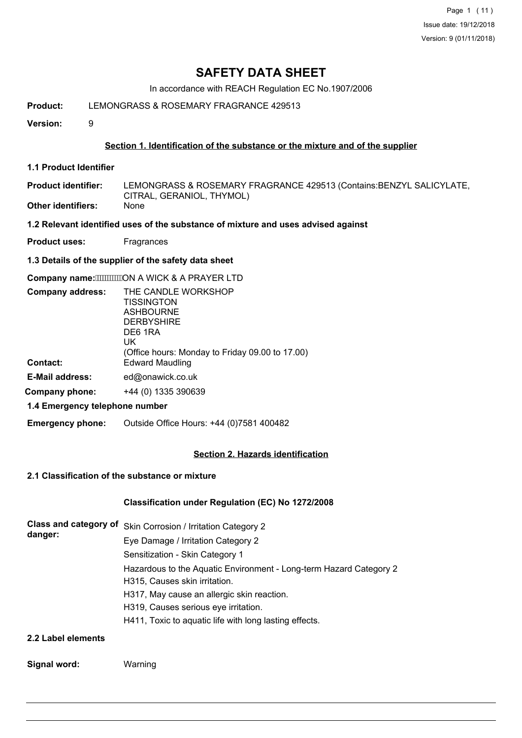Page 1 (11) Issue date: 19/12/2018 Version: 9 (01/11/2018)

# **SAFETY DATA SHEET**

In accordance with REACH Regulation EC No.1907/2006

## **Product:** LEMONGRASS & ROSEMARY FRAGRANCE 429513

**Version:** 9

### **Section 1. Identification of the substance or the mixture and of the supplier**

**1.1 Product Identifier**

LEMONGRASS & ROSEMARY FRAGRANCE 429513 (Contains:BENZYL SALICYLATE, CITRAL, GERANIOL, THYMOL) **Product identifier: Other identifiers:** None

### **1.2 Relevant identified uses of the substance of mixture and uses advised against**

**Product uses:** Fragrances

### **1.3 Details of the supplier of the safety data sheet**

**Company name: """"""ON A WICK & A PRAYER LTD** 

| THE CANDLE WORKSHOP                             |
|-------------------------------------------------|
| TISSINGTON                                      |
| <b>ASHBOURNE</b>                                |
| <b>DERBYSHIRE</b>                               |
| DE6 1RA                                         |
| UK                                              |
| (Office hours: Monday to Friday 09.00 to 17.00) |
| <b>Edward Maudling</b>                          |
| ed@onawick.co.uk                                |
| +44 (0) 1335 390639                             |
|                                                 |

### **1.4 Emergency telephone number**

**Emergency phone:** Outside Office Hours: +44 (0)7581 400482

### **Section 2. Hazards identification**

# **2.1 Classification of the substance or mixture**

### **Classification under Regulation (EC) No 1272/2008**

| <b>Class and category of</b><br>danger: | Skin Corrosion / Irritation Category 2                                                              |
|-----------------------------------------|-----------------------------------------------------------------------------------------------------|
|                                         | Eye Damage / Irritation Category 2                                                                  |
|                                         | Sensitization - Skin Category 1                                                                     |
|                                         | Hazardous to the Aquatic Environment - Long-term Hazard Category 2<br>H315, Causes skin irritation. |
|                                         | H317, May cause an allergic skin reaction.                                                          |
|                                         | H319, Causes serious eye irritation.                                                                |
|                                         | H411, Toxic to aquatic life with long lasting effects.                                              |
| 22 Jahrhad Alamanta                     |                                                                                                     |

#### **2.2 Label elements**

### **Signal word:** Warning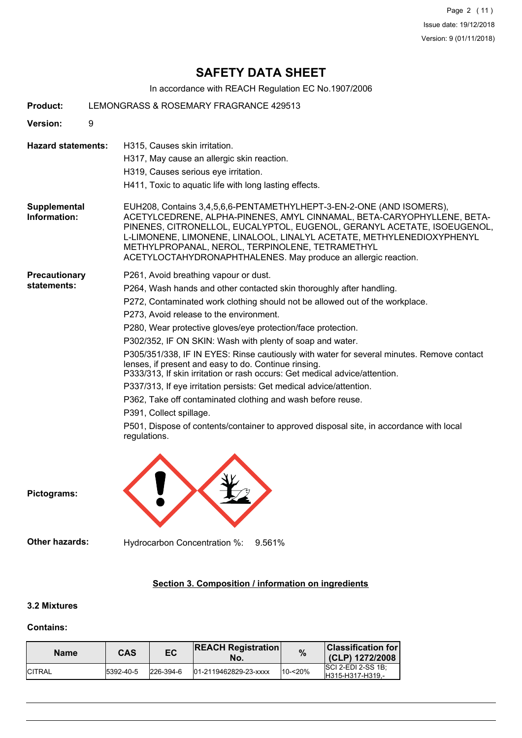Page 2 (11) Issue date: 19/12/2018 Version: 9 (01/11/2018)

# **SAFETY DATA SHEET**

In accordance with REACH Regulation EC No.1907/2006

| <b>Product:</b>                     |   | LEMONGRASS & ROSEMARY FRAGRANCE 429513                                                                                                                                                                                                                                                                                                                                                                                                                                                                                                                                                                                                                                                                                                                                                                                                                                               |
|-------------------------------------|---|--------------------------------------------------------------------------------------------------------------------------------------------------------------------------------------------------------------------------------------------------------------------------------------------------------------------------------------------------------------------------------------------------------------------------------------------------------------------------------------------------------------------------------------------------------------------------------------------------------------------------------------------------------------------------------------------------------------------------------------------------------------------------------------------------------------------------------------------------------------------------------------|
| Version:                            | 9 |                                                                                                                                                                                                                                                                                                                                                                                                                                                                                                                                                                                                                                                                                                                                                                                                                                                                                      |
| <b>Hazard statements:</b>           |   | H315, Causes skin irritation.<br>H317, May cause an allergic skin reaction.<br>H319, Causes serious eye irritation.<br>H411, Toxic to aquatic life with long lasting effects.                                                                                                                                                                                                                                                                                                                                                                                                                                                                                                                                                                                                                                                                                                        |
| <b>Supplemental</b><br>Information: |   | EUH208, Contains 3,4,5,6,6-PENTAMETHYLHEPT-3-EN-2-ONE (AND ISOMERS),<br>ACETYLCEDRENE, ALPHA-PINENES, AMYL CINNAMAL, BETA-CARYOPHYLLENE, BETA-<br>PINENES, CITRONELLOL, EUCALYPTOL, EUGENOL, GERANYL ACETATE, ISOEUGENOL,<br>L-LIMONENE, LIMONENE, LINALOOL, LINALYL ACETATE, METHYLENEDIOXYPHENYL<br>METHYLPROPANAL, NEROL, TERPINOLENE, TETRAMETHYL<br>ACETYLOCTAHYDRONAPHTHALENES. May produce an allergic reaction.                                                                                                                                                                                                                                                                                                                                                                                                                                                              |
| <b>Precautionary</b><br>statements: |   | P261, Avoid breathing vapour or dust.<br>P264, Wash hands and other contacted skin thoroughly after handling.<br>P272, Contaminated work clothing should not be allowed out of the workplace.<br>P273, Avoid release to the environment.<br>P280, Wear protective gloves/eye protection/face protection.<br>P302/352, IF ON SKIN: Wash with plenty of soap and water.<br>P305/351/338, IF IN EYES: Rinse cautiously with water for several minutes. Remove contact<br>lenses, if present and easy to do. Continue rinsing.<br>P333/313, If skin irritation or rash occurs: Get medical advice/attention.<br>P337/313, If eye irritation persists: Get medical advice/attention.<br>P362, Take off contaminated clothing and wash before reuse.<br>P391, Collect spillage.<br>P501, Dispose of contents/container to approved disposal site, in accordance with local<br>regulations. |
| Pictograms:                         |   |                                                                                                                                                                                                                                                                                                                                                                                                                                                                                                                                                                                                                                                                                                                                                                                                                                                                                      |
| Other hazards:                      |   | Hydrocarbon Concentration %:<br>9.561%                                                                                                                                                                                                                                                                                                                                                                                                                                                                                                                                                                                                                                                                                                                                                                                                                                               |
|                                     |   |                                                                                                                                                                                                                                                                                                                                                                                                                                                                                                                                                                                                                                                                                                                                                                                                                                                                                      |

# **Section 3. Composition / information on ingredients**

# **3.2 Mixtures**

## **Contains:**

| <b>Name</b>    | CAS        | EC            | <b>REACH Registration</b><br>No. | %       | <b>Classification for</b><br>(CLP) 1272/2008 |
|----------------|------------|---------------|----------------------------------|---------|----------------------------------------------|
| <b>ICITRAL</b> | 15392-40-5 | $ 226-394-6 $ | 01-2119462829-23-xxxx            | 10-<20% | $ SC$ 2-EDI 2-SS 1B:<br>H315-H317-H319.-     |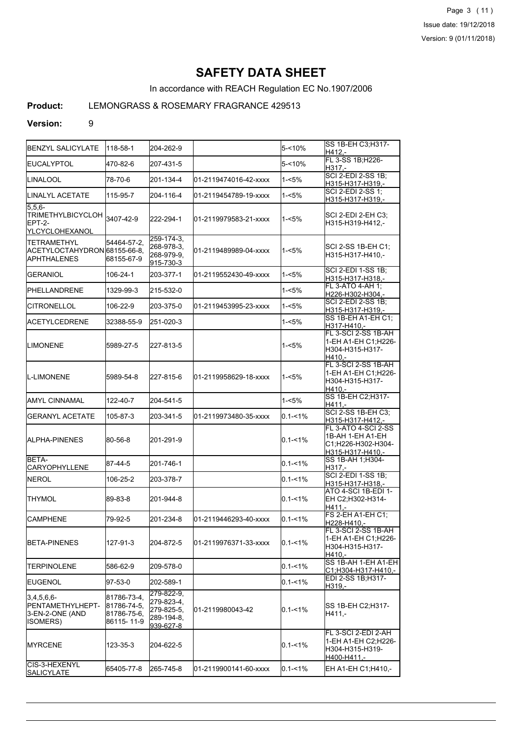Page 3 (11) Issue date: 19/12/2018 Version: 9 (01/11/2018)

# **SAFETY DATA SHEET**

In accordance with REACH Regulation EC No.1907/2006

# **Product:** LEMONGRASS & ROSEMARY FRAGRANCE 429513

### **Version:** 9

| <b>I</b> BENZYL SALICYLATE                                                | 118-58-1                                                 | 204-262-9                                                         |                        | 5-<10%      | SS 1B-EH C3; H317-<br>H412,-                                                      |
|---------------------------------------------------------------------------|----------------------------------------------------------|-------------------------------------------------------------------|------------------------|-------------|-----------------------------------------------------------------------------------|
| <b>IEUCALYPTOL</b>                                                        | 470-82-6                                                 | 207-431-5                                                         |                        | 5-<10%      | FL 3-SS 1B; H226-<br>H317.-                                                       |
| ILINALOOL                                                                 | 78-70-6                                                  | 201-134-4                                                         | 01-2119474016-42-xxxx  | 1-<5%       | SCI 2-EDI 2-SS 1B;<br>H315-H317-H319,-                                            |
| LINALYL ACETATE                                                           | 115-95-7                                                 | 204-116-4                                                         | 01-2119454789-19-xxxx  | 1-<5%       | SCI 2-EDI 2-SS 1;<br>H315-H317-H319,-                                             |
| 5.5.6-<br>TRIMETHYLBICYCLOH 3407-42-9<br>IEPT-2-<br>YLCYCLOHEXANOL        |                                                          | 222-294-1                                                         | l01-2119979583-21-xxxx | $1 - 5%$    | SCI 2-EDI 2-EH C3;<br>H315-H319-H412,-                                            |
| <b>TETRAMETHYL</b><br> ACETYLOCTAHYDRON 68155-66-8.<br><b>APHTHALENES</b> | 54464-57-2,<br>68155-67-9                                | $\overline{259-174-3}$<br>268-978-3.<br>268-979-9,<br>915-730-3   | l01-2119489989-04-xxxx | $1 - 5%$    | SCI 2-SS 1B-EH C1;<br>H315-H317-H410.-                                            |
| <b>GERANIOL</b>                                                           | 106-24-1                                                 | 203-377-1                                                         | 01-2119552430-49-xxxx  | 1-<5%       | SCI 2-EDI 1-SS 1B;<br>H315-H317-H318,-                                            |
| IPHELLANDRENE                                                             | 1329-99-3                                                | 215-532-0                                                         |                        | 1-<5%       | FL 3-ATO 4-AH 1;<br>H226-H302-H304,-                                              |
| <b>CITRONELLOL</b>                                                        | 106-22-9                                                 | 203-375-0                                                         | 01-2119453995-23-xxxx  | 1-<5%       | SCI 2-EDI 2-SS 1B;<br>H315-H317-H319,-                                            |
| <b>IACETYLCEDRENE</b>                                                     | 32388-55-9                                               | 251-020-3                                                         |                        | 1-<5%       | SS 1B-EH A1-EH C1:<br>H317-H410,-                                                 |
| <b>ILIMONENE</b>                                                          | 5989-27-5                                                | 227-813-5                                                         |                        | 1-<5%       | FL 3-SCI 2-SS 1B-AH<br>1-EH A1-EH C1;H226-<br>H304-H315-H317-<br>H410.-           |
| L-LIMONENE                                                                | 5989-54-8                                                | 227-815-6                                                         | l01-2119958629-18-xxxx | $1 - 5%$    | FL 3-SCI 2-SS 1B-AH<br>1-EH A1-EH C1:H226-<br>H304-H315-H317-<br>H410.-           |
| IAMYL CINNAMAL                                                            | 122-40-7                                                 | 204-541-5                                                         |                        | 1-<5%       | SS 1B-EH C2; H317-<br>H411,-                                                      |
| <b>GERANYL ACETATE</b>                                                    | 105-87-3                                                 | 203-341-5                                                         | 01-2119973480-35-xxxx  | $0.1 - 1\%$ | <b>SCI 2-SS 1B-EH C3;</b><br>H315-H317-H412,-                                     |
| <b>I</b> ALPHA-PINENES                                                    | 80-56-8                                                  | 201-291-9                                                         |                        | $0.1 - 1\%$ | FL 3-ATO 4-SCI 2-SS<br>1B-AH 1-EH A1-EH<br>C1;H226-H302-H304-<br>H315-H317-H410,- |
| BETA-<br><b>CARYOPHYLLENE</b>                                             | 87-44-5                                                  | 201-746-1                                                         |                        | $0.1 - 1\%$ | SS 1B-AH 1; H304-<br>H317,-                                                       |
| <b>NEROL</b>                                                              | 106-25-2                                                 | 203-378-7                                                         |                        | $0.1 - 1\%$ | SCI 2-EDI 1-SS 1B;<br>H315-H317-H318,-                                            |
| ITHYMOL                                                                   | 89-83-8                                                  | 201-944-8                                                         |                        | $0.1 - 1\%$ | ATO 4-SCI 1B-EDI 1-<br>EH C2:H302-H314-<br>H411,-                                 |
| <b>CAMPHENE</b>                                                           | 79-92-5                                                  | 201-234-8                                                         | 01-2119446293-40-xxxx  | $0.1 - 1\%$ | FS 2-EH A1-EH C1;<br>H228-H410,-                                                  |
| <b>I</b> BETA-PINENES                                                     | 127-91-3                                                 | 204-872-5                                                         | l01-2119976371-33-xxxx | $0.1 - 1\%$ | FL 3-SCI 2-SS 1B-AH<br>1-EH A1-EH C1: H226-<br>H304-H315-H317-<br>H410,-          |
| <b>ITERPINOLENE</b>                                                       | 586-62-9                                                 | 209-578-0                                                         |                        | $0.1 - 1\%$ | SS 1B-AH 1-EH A1-EH<br>C1;H304-H317-H410,-                                        |
| <b>I</b> EUGENOL                                                          | 97-53-0                                                  | 202-589-1                                                         |                        | $0.1 - 1\%$ | EDI 2-SS 1B;H317-<br>H319,-                                                       |
| $3,4,5,6,6$ -<br>PENTAMETHYLHEPT-<br>3-EN-2-ONE (AND<br>ISOMERS)          | 81786-73-4,<br> 81786-74-5,<br>81786-75-6.<br>86115-11-9 | 279-822-9,<br>279-823-4,<br>279-825-5,<br>289-194-8.<br>939-627-8 | 01-2119980043-42       | $0.1 - 1\%$ | SS 1B-EH C2;H317-<br>H411,-                                                       |
| <b>IMYRCENE</b>                                                           | 123-35-3                                                 | 204-622-5                                                         |                        | $0.1 - 1\%$ | FL 3-SCI 2-EDI 2-AH<br>1-EH A1-EH C2;H226-<br>H304-H315-H319-<br>H400-H411,-      |
| ICIS-3-HEXENYL<br><b>SALICYLATE</b>                                       | 65405-77-8                                               | 265-745-8                                                         | 01-2119900141-60-xxxx  | $0.1 - 1\%$ | EH A1-EH C1; H410,-                                                               |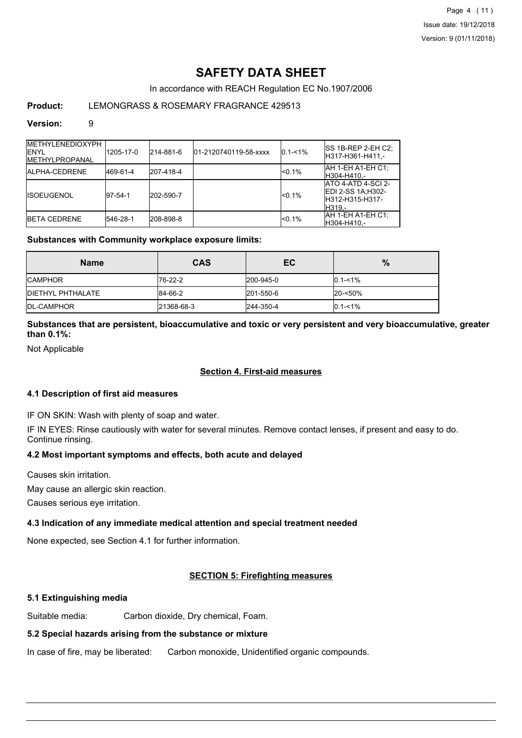Page 4 (11) Issue date: 19/12/2018 Version: 9 (01/11/2018)

# **SAFETY DATA SHEET**

In accordance with REACH Regulation EC No.1907/2006

## **Product:** LEMONGRASS & ROSEMARY FRAGRANCE 429513

### **Version:** 9

| <b>METHYLENEDIOXYPH</b><br><b>IENYL</b><br><b>IMETHYLPROPANAL</b> | 1205-17-0 | 214-881-6 | 01-2120740119-58-xxxx | $0.1 - 1\%$ | ISS 1B-REP 2-EH C2:<br>IH317-H361-H411.-                                      |
|-------------------------------------------------------------------|-----------|-----------|-----------------------|-------------|-------------------------------------------------------------------------------|
| <b>IALPHA-CEDRENE</b>                                             | 469-61-4  | 207-418-4 |                       | $< 0.1\%$   | IAH 1-EH A1-EH C1:<br>H304-H410.-                                             |
| <b>IISOEUGENOL</b>                                                | 197-54-1  | 202-590-7 |                       | $< 0.1\%$   | IATO 4-ATD 4-SCI 2-<br><b>EDI 2-SS 1A:H302-</b><br>H312-H315-H317-<br>IH319.- |
| <b>IBETA CEDRENE</b>                                              | 546-28-1  | 208-898-8 |                       | $< 0.1\%$   | <b>JAH 1-EH A1-EH C1:</b><br>IH304-H410.-                                     |

### **Substances with Community workplace exposure limits:**

| <b>Name</b>               | <b>CAS</b> | EC.        | $\%$        |
|---------------------------|------------|------------|-------------|
| <b>ICAMPHOR</b>           | 176-22-2   | 1200-945-0 | $0.1 - 1\%$ |
| <b>IDIETHYL PHTHALATE</b> | 84-66-2    | 201-550-6  | $20 - 50%$  |
| <b>IDL-CAMPHOR</b>        | 21368-68-3 | 244-350-4  | $0.1 - 1\%$ |

**Substances that are persistent, bioaccumulative and toxic or very persistent and very bioaccumulative, greater than 0.1%:**

Not Applicable

### **Section 4. First-aid measures**

### **4.1 Description of first aid measures**

IF ON SKIN: Wash with plenty of soap and water.

IF IN EYES: Rinse cautiously with water for several minutes. Remove contact lenses, if present and easy to do. Continue rinsing.

### **4.2 Most important symptoms and effects, both acute and delayed**

Causes skin irritation.

May cause an allergic skin reaction.

Causes serious eye irritation.

## **4.3 Indication of any immediate medical attention and special treatment needed**

None expected, see Section 4.1 for further information.

### **SECTION 5: Firefighting measures**

#### **5.1 Extinguishing media**

Suitable media: Carbon dioxide, Dry chemical, Foam.

### **5.2 Special hazards arising from the substance or mixture**

In case of fire, may be liberated: Carbon monoxide, Unidentified organic compounds.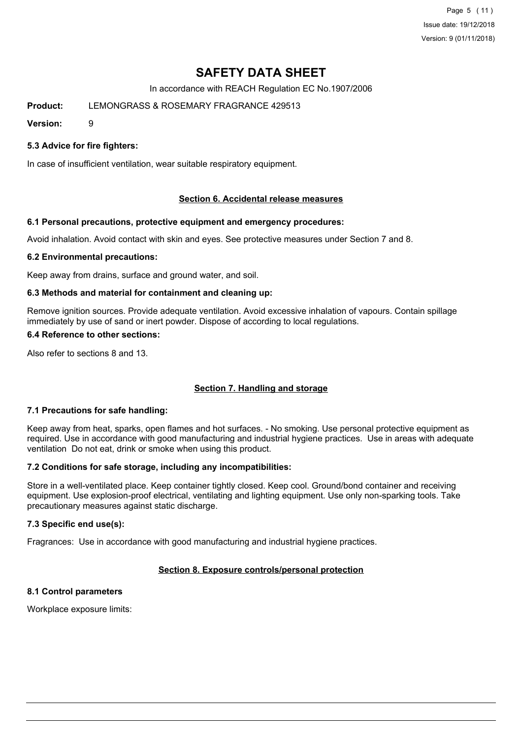Page 5 (11) Issue date: 19/12/2018 Version: 9 (01/11/2018)

# **SAFETY DATA SHEET**

In accordance with REACH Regulation EC No.1907/2006

**Product:** LEMONGRASS & ROSEMARY FRAGRANCE 429513

**Version:** 9

### **5.3 Advice for fire fighters:**

In case of insufficient ventilation, wear suitable respiratory equipment.

### **Section 6. Accidental release measures**

### **6.1 Personal precautions, protective equipment and emergency procedures:**

Avoid inhalation. Avoid contact with skin and eyes. See protective measures under Section 7 and 8.

### **6.2 Environmental precautions:**

Keep away from drains, surface and ground water, and soil.

### **6.3 Methods and material for containment and cleaning up:**

Remove ignition sources. Provide adequate ventilation. Avoid excessive inhalation of vapours. Contain spillage immediately by use of sand or inert powder. Dispose of according to local regulations.

### **6.4 Reference to other sections:**

Also refer to sections 8 and 13.

### **Section 7. Handling and storage**

### **7.1 Precautions for safe handling:**

Keep away from heat, sparks, open flames and hot surfaces. - No smoking. Use personal protective equipment as required. Use in accordance with good manufacturing and industrial hygiene practices. Use in areas with adequate ventilation Do not eat, drink or smoke when using this product.

### **7.2 Conditions for safe storage, including any incompatibilities:**

Store in a well-ventilated place. Keep container tightly closed. Keep cool. Ground/bond container and receiving equipment. Use explosion-proof electrical, ventilating and lighting equipment. Use only non-sparking tools. Take precautionary measures against static discharge.

### **7.3 Specific end use(s):**

Fragrances: Use in accordance with good manufacturing and industrial hygiene practices.

# **Section 8. Exposure controls/personal protection**

# **8.1 Control parameters**

Workplace exposure limits: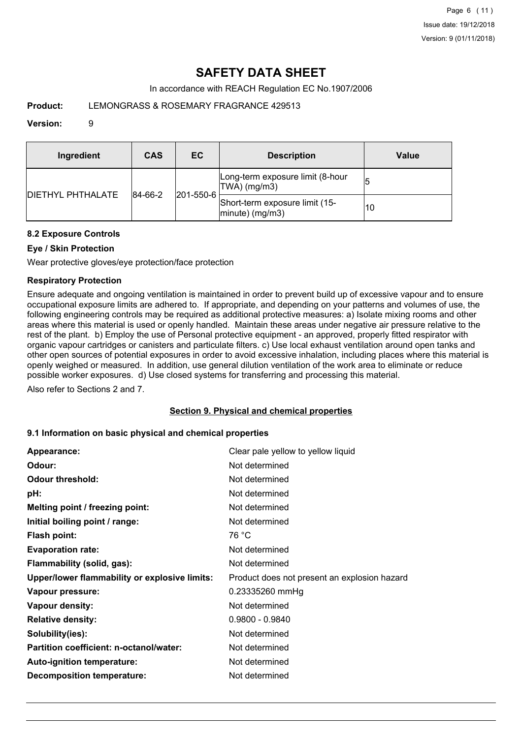# **SAFETY DATA SHEET**

In accordance with REACH Regulation EC No.1907/2006

# **Product:** LEMONGRASS & ROSEMARY FRAGRANCE 429513

### **Version:** 9

| Ingredient                | CAS     | ЕC                | <b>Description</b>                                   | Value |
|---------------------------|---------|-------------------|------------------------------------------------------|-------|
| <b>IDIETHYL PHTHALATE</b> | 84-66-2 |                   | Long-term exposure limit (8-hour<br>TWA) (mg/m3)     |       |
|                           |         | $ 201 - 550 - 6 $ | Short-term exposure limit (15-<br>$ minute)$ (mg/m3) | 10    |

## **8.2 Exposure Controls**

## **Eye / Skin Protection**

Wear protective gloves/eye protection/face protection

## **Respiratory Protection**

Ensure adequate and ongoing ventilation is maintained in order to prevent build up of excessive vapour and to ensure occupational exposure limits are adhered to. If appropriate, and depending on your patterns and volumes of use, the following engineering controls may be required as additional protective measures: a) Isolate mixing rooms and other areas where this material is used or openly handled. Maintain these areas under negative air pressure relative to the rest of the plant. b) Employ the use of Personal protective equipment - an approved, properly fitted respirator with organic vapour cartridges or canisters and particulate filters. c) Use local exhaust ventilation around open tanks and other open sources of potential exposures in order to avoid excessive inhalation, including places where this material is openly weighed or measured. In addition, use general dilution ventilation of the work area to eliminate or reduce possible worker exposures. d) Use closed systems for transferring and processing this material.

Also refer to Sections 2 and 7.

## **Section 9. Physical and chemical properties**

### **9.1 Information on basic physical and chemical properties**

| Appearance:                                   | Clear pale yellow to yellow liquid           |
|-----------------------------------------------|----------------------------------------------|
| Odour:                                        | Not determined                               |
| <b>Odour threshold:</b>                       | Not determined                               |
| pH:                                           | Not determined                               |
| Melting point / freezing point:               | Not determined                               |
| Initial boiling point / range:                | Not determined                               |
| <b>Flash point:</b>                           | 76 °C                                        |
| <b>Evaporation rate:</b>                      | Not determined                               |
| Flammability (solid, gas):                    | Not determined                               |
| Upper/lower flammability or explosive limits: | Product does not present an explosion hazard |
| Vapour pressure:                              | 0.23335260 mmHg                              |
| Vapour density:                               | Not determined                               |
| <b>Relative density:</b>                      | $0.9800 - 0.9840$                            |
| Solubility(ies):                              | Not determined                               |
| Partition coefficient: n-octanol/water:       | Not determined                               |
| Auto-ignition temperature:                    | Not determined                               |
| <b>Decomposition temperature:</b>             | Not determined                               |
|                                               |                                              |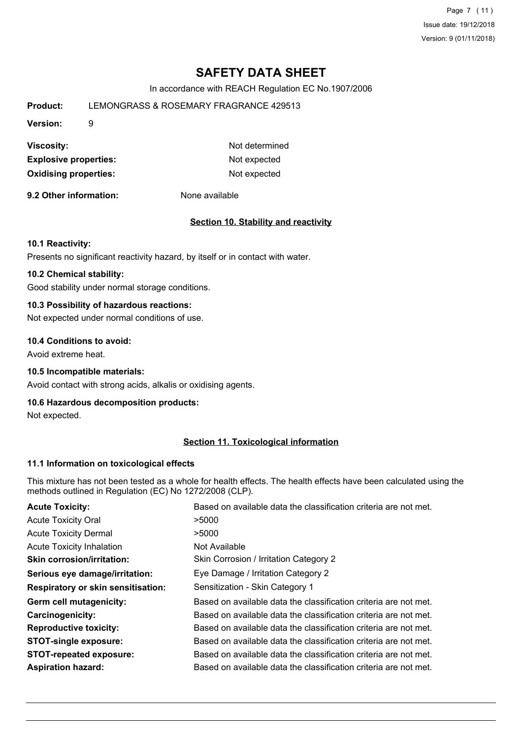Page 7 (11) Issue date: 19/12/2018 Version: 9 (01/11/2018)

# **SAFETY DATA SHEET**

In accordance with REACH Regulation EC No.1907/2006

| Product:                                     | LEMONGRASS & ROSEMARY FRAGRANCE 429513 |                |  |  |  |
|----------------------------------------------|----------------------------------------|----------------|--|--|--|
| <b>Version:</b>                              | 9                                      |                |  |  |  |
| <b>Viscosity:</b>                            |                                        | Not determined |  |  |  |
| <b>Explosive properties:</b><br>Not expected |                                        |                |  |  |  |
| <b>Oxidising properties:</b>                 |                                        | Not expected   |  |  |  |

**9.2 Other information:** None available

### **Section 10. Stability and reactivity**

#### **10.1 Reactivity:**

Presents no significant reactivity hazard, by itself or in contact with water.

## **10.2 Chemical stability:**

Good stability under normal storage conditions.

## **10.3 Possibility of hazardous reactions:**

Not expected under normal conditions of use.

### **10.4 Conditions to avoid:**

Avoid extreme heat.

### **10.5 Incompatible materials:**

Avoid contact with strong acids, alkalis or oxidising agents.

### **10.6 Hazardous decomposition products:**

Not expected.

## **Section 11. Toxicological information**

### **11.1 Information on toxicological effects**

This mixture has not been tested as a whole for health effects. The health effects have been calculated using the methods outlined in Regulation (EC) No 1272/2008 (CLP).

| <b>Acute Toxicity:</b>                    | Based on available data the classification criteria are not met. |
|-------------------------------------------|------------------------------------------------------------------|
| <b>Acute Toxicity Oral</b>                | >5000                                                            |
| <b>Acute Toxicity Dermal</b>              | >5000                                                            |
| <b>Acute Toxicity Inhalation</b>          | Not Available                                                    |
| <b>Skin corrosion/irritation:</b>         | Skin Corrosion / Irritation Category 2                           |
| Serious eye damage/irritation:            | Eye Damage / Irritation Category 2                               |
| <b>Respiratory or skin sensitisation:</b> | Sensitization - Skin Category 1                                  |
| Germ cell mutagenicity:                   | Based on available data the classification criteria are not met. |
| <b>Carcinogenicity:</b>                   | Based on available data the classification criteria are not met. |
| <b>Reproductive toxicity:</b>             | Based on available data the classification criteria are not met. |
| <b>STOT-single exposure:</b>              | Based on available data the classification criteria are not met. |
| <b>STOT-repeated exposure:</b>            | Based on available data the classification criteria are not met. |
| <b>Aspiration hazard:</b>                 | Based on available data the classification criteria are not met. |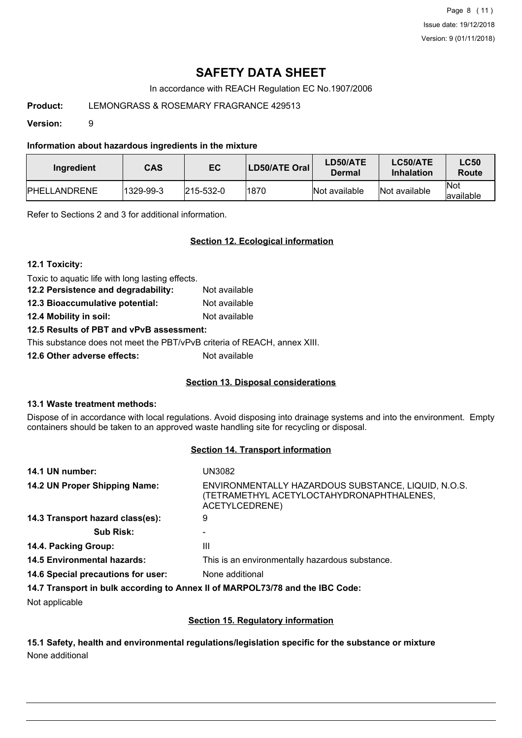Page 8 (11) Issue date: 19/12/2018 Version: 9 (01/11/2018)

# **SAFETY DATA SHEET**

In accordance with REACH Regulation EC No.1907/2006

## **Product:** LEMONGRASS & ROSEMARY FRAGRANCE 429513

**Version:** 9

**Information about hazardous ingredients in the mixture**

| Ingredient           | CAS       | EC                | LD50/ATE Oral | LD50/ATE<br>Dermal | LC50/ATE<br><b>Inhalation</b> | <b>LC50</b><br>Route     |
|----------------------|-----------|-------------------|---------------|--------------------|-------------------------------|--------------------------|
| <b>IPHELLANDRENE</b> | 1329-99-3 | $ 215 - 532 - 0 $ | 1870          | Not available      | Not available                 | <b>Not</b><br>lavailable |

Refer to Sections 2 and 3 for additional information.

## **Section 12. Ecological information**

**12.1 Toxicity:**

Toxic to aquatic life with long lasting effects.

**12.2 Persistence and degradability:** Not available **12.3 Bioaccumulative potential:** Not available

**12.4 Mobility in soil:** Not available

**12.5 Results of PBT and vPvB assessment:**

This substance does not meet the PBT/vPvB criteria of REACH, annex XIII.

**12.6 Other adverse effects:** Not available

## **Section 13. Disposal considerations**

### **13.1 Waste treatment methods:**

Dispose of in accordance with local regulations. Avoid disposing into drainage systems and into the environment. Empty containers should be taken to an approved waste handling site for recycling or disposal.

### **Section 14. Transport information**

| 14.1 UN number:                    | UN3082                                                                                                             |
|------------------------------------|--------------------------------------------------------------------------------------------------------------------|
| 14.2 UN Proper Shipping Name:      | ENVIRONMENTALLY HAZARDOUS SUBSTANCE, LIQUID, N.O.S.<br>(TETRAMETHYL ACETYLOCTAHYDRONAPHTHALENES,<br>ACETYLCEDRENE) |
| 14.3 Transport hazard class(es):   | 9                                                                                                                  |
| <b>Sub Risk:</b>                   |                                                                                                                    |
| 14.4. Packing Group:               | Ш                                                                                                                  |
| <b>14.5 Environmental hazards:</b> | This is an environmentally hazardous substance.                                                                    |
| 14.6 Special precautions for user: | None additional                                                                                                    |
|                                    | 14 7 Transport in bully associated a honor II of MADDOI 72/70 and the IDC Cader                                    |

**14.7 Transport in bulk according to Annex II of MARPOL73/78 and the IBC Code:**

Not applicable

## **Section 15. Regulatory information**

**15.1 Safety, health and environmental regulations/legislation specific for the substance or mixture** None additional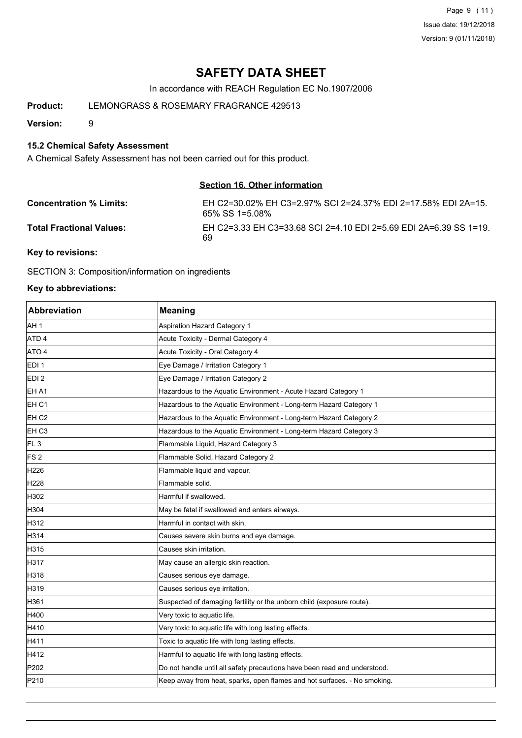Page 9 (11) Issue date: 19/12/2018 Version: 9 (01/11/2018)

# **SAFETY DATA SHEET**

In accordance with REACH Regulation EC No.1907/2006

**Product:** LEMONGRASS & ROSEMARY FRAGRANCE 429513

**Version:** 9

### **15.2 Chemical Safety Assessment**

A Chemical Safety Assessment has not been carried out for this product.

### **Section 16. Other information**

| <b>Concentration % Limits:</b>    | EH C2=30.02% EH C3=2.97% SCI 2=24.37% EDI 2=17.58% EDI 2A=15.<br>65% SS 1=5.08% |
|-----------------------------------|---------------------------------------------------------------------------------|
| <b>Total Fractional Values:</b>   | EH C2=3.33 EH C3=33.68 SCI 2=4.10 EDI 2=5.69 EDI 2A=6.39 SS 1=19.<br>69         |
| $\bm{V}$ for an interest $\bm{V}$ |                                                                                 |

**Key to revisions:**

SECTION 3: Composition/information on ingredients

### **Key to abbreviations:**

| <b>Abbreviation</b> | <b>Meaning</b>                                                            |
|---------------------|---------------------------------------------------------------------------|
| AH <sub>1</sub>     | <b>Aspiration Hazard Category 1</b>                                       |
| ATD <sub>4</sub>    | Acute Toxicity - Dermal Category 4                                        |
| ATO 4               | Acute Toxicity - Oral Category 4                                          |
| EDI <sub>1</sub>    | Eye Damage / Irritation Category 1                                        |
| EDI <sub>2</sub>    | Eye Damage / Irritation Category 2                                        |
| EH A1               | Hazardous to the Aquatic Environment - Acute Hazard Category 1            |
| EH <sub>C1</sub>    | Hazardous to the Aquatic Environment - Long-term Hazard Category 1        |
| EH <sub>C2</sub>    | Hazardous to the Aquatic Environment - Long-term Hazard Category 2        |
| EH <sub>C3</sub>    | Hazardous to the Aquatic Environment - Long-term Hazard Category 3        |
| FL <sub>3</sub>     | Flammable Liquid, Hazard Category 3                                       |
| FS <sub>2</sub>     | Flammable Solid, Hazard Category 2                                        |
| H <sub>226</sub>    | Flammable liquid and vapour.                                              |
| H <sub>228</sub>    | Flammable solid.                                                          |
| H302                | Harmful if swallowed.                                                     |
| H304                | May be fatal if swallowed and enters airways.                             |
| H312                | Harmful in contact with skin.                                             |
| H314                | Causes severe skin burns and eye damage.                                  |
| H315                | Causes skin irritation.                                                   |
| H317                | May cause an allergic skin reaction.                                      |
| H318                | Causes serious eye damage.                                                |
| H319                | Causes serious eye irritation.                                            |
| H361                | Suspected of damaging fertility or the unborn child (exposure route).     |
| H400                | Very toxic to aquatic life.                                               |
| H410                | Very toxic to aquatic life with long lasting effects.                     |
| H411                | Toxic to aquatic life with long lasting effects.                          |
| H412                | Harmful to aquatic life with long lasting effects.                        |
| P202                | Do not handle until all safety precautions have been read and understood. |
| P210                | Keep away from heat, sparks, open flames and hot surfaces. - No smoking.  |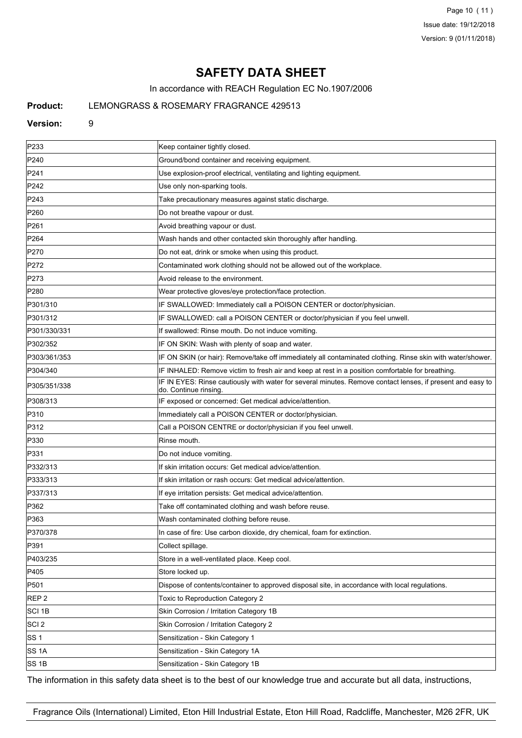Page 10 (11) Issue date: 19/12/2018 Version: 9 (01/11/2018)

# **SAFETY DATA SHEET**

In accordance with REACH Regulation EC No.1907/2006

## **Product:** LEMONGRASS & ROSEMARY FRAGRANCE 429513

#### **Version:** 9

| P233             | Keep container tightly closed.                                                                                                      |
|------------------|-------------------------------------------------------------------------------------------------------------------------------------|
| P240             | Ground/bond container and receiving equipment.                                                                                      |
| P241             | Use explosion-proof electrical, ventilating and lighting equipment.                                                                 |
| P242             | Use only non-sparking tools.                                                                                                        |
| P243             | Take precautionary measures against static discharge.                                                                               |
| P <sub>260</sub> | Do not breathe vapour or dust.                                                                                                      |
| P <sub>261</sub> | Avoid breathing vapour or dust.                                                                                                     |
| P <sub>264</sub> | Wash hands and other contacted skin thoroughly after handling.                                                                      |
| P270             | Do not eat, drink or smoke when using this product.                                                                                 |
| P272             | Contaminated work clothing should not be allowed out of the workplace.                                                              |
| P273             | Avoid release to the environment.                                                                                                   |
| P280             | Wear protective gloves/eye protection/face protection.                                                                              |
| P301/310         | IF SWALLOWED: Immediately call a POISON CENTER or doctor/physician.                                                                 |
| P301/312         | IF SWALLOWED: call a POISON CENTER or doctor/physician if you feel unwell.                                                          |
| P301/330/331     | If swallowed: Rinse mouth. Do not induce vomiting.                                                                                  |
| P302/352         | IF ON SKIN: Wash with plenty of soap and water.                                                                                     |
| P303/361/353     | IF ON SKIN (or hair): Remove/take off immediately all contaminated clothing. Rinse skin with water/shower.                          |
| P304/340         | IF INHALED: Remove victim to fresh air and keep at rest in a position comfortable for breathing.                                    |
| P305/351/338     | IF IN EYES: Rinse cautiously with water for several minutes. Remove contact lenses, if present and easy to<br>do. Continue rinsing. |
| P308/313         | IF exposed or concerned: Get medical advice/attention.                                                                              |
| P310             | Immediately call a POISON CENTER or doctor/physician.                                                                               |
| P312             | Call a POISON CENTRE or doctor/physician if you feel unwell.                                                                        |
| P330             | Rinse mouth.                                                                                                                        |
| P331             | Do not induce vomiting.                                                                                                             |
| P332/313         | If skin irritation occurs: Get medical advice/attention.                                                                            |
| P333/313         | If skin irritation or rash occurs: Get medical advice/attention.                                                                    |
| P337/313         | If eye irritation persists: Get medical advice/attention.                                                                           |
| P362             | Take off contaminated clothing and wash before reuse.                                                                               |
| P363             | Wash contaminated clothing before reuse.                                                                                            |
| P370/378         | In case of fire: Use carbon dioxide, dry chemical, foam for extinction.                                                             |
| P391             | Collect spillage.                                                                                                                   |
| P403/235         | Store in a well-ventilated place. Keep cool.                                                                                        |
| P405             | Store locked up.                                                                                                                    |
| P501             | Dispose of contents/container to approved disposal site, in accordance with local regulations.                                      |
| REP <sub>2</sub> | Toxic to Reproduction Category 2                                                                                                    |
| SCI 1B           | Skin Corrosion / Irritation Category 1B                                                                                             |
| SCI 2            | Skin Corrosion / Irritation Category 2                                                                                              |
| SS 1             | Sensitization - Skin Category 1                                                                                                     |
| SS 1A            | Sensitization - Skin Category 1A                                                                                                    |
| SS 1B            | Sensitization - Skin Category 1B                                                                                                    |

The information in this safety data sheet is to the best of our knowledge true and accurate but all data, instructions,